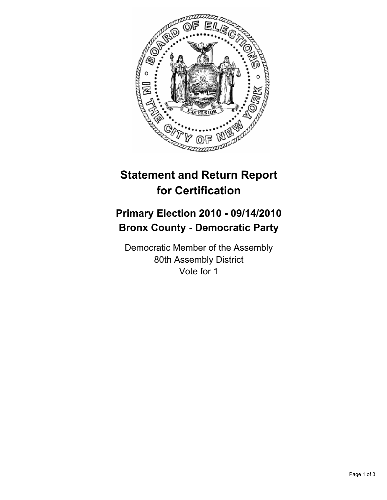

## **Statement and Return Report for Certification**

## **Primary Election 2010 - 09/14/2010 Bronx County - Democratic Party**

Democratic Member of the Assembly 80th Assembly District Vote for 1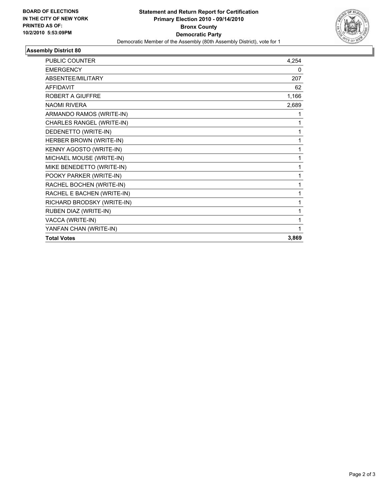

## **Assembly District 80**

| <b>PUBLIC COUNTER</b>      | 4,254 |
|----------------------------|-------|
| <b>EMERGENCY</b>           | 0     |
| ABSENTEE/MILITARY          | 207   |
| <b>AFFIDAVIT</b>           | 62    |
| <b>ROBERT A GIUFFRE</b>    | 1,166 |
| <b>NAOMI RIVERA</b>        | 2,689 |
| ARMANDO RAMOS (WRITE-IN)   | 1     |
| CHARLES RANGEL (WRITE-IN)  | 1     |
| DEDENETTO (WRITE-IN)       | 1     |
| HERBER BROWN (WRITE-IN)    | 1     |
| KENNY AGOSTO (WRITE-IN)    | 1     |
| MICHAEL MOUSE (WRITE-IN)   | 1     |
| MIKE BENEDETTO (WRITE-IN)  | 1     |
| POOKY PARKER (WRITE-IN)    | 1     |
| RACHEL BOCHEN (WRITE-IN)   | 1     |
| RACHEL E BACHEN (WRITE-IN) | 1     |
| RICHARD BRODSKY (WRITE-IN) | 1     |
| RUBEN DIAZ (WRITE-IN)      | 1     |
| VACCA (WRITE-IN)           | 1     |
| YANFAN CHAN (WRITE-IN)     |       |
| <b>Total Votes</b>         | 3,869 |